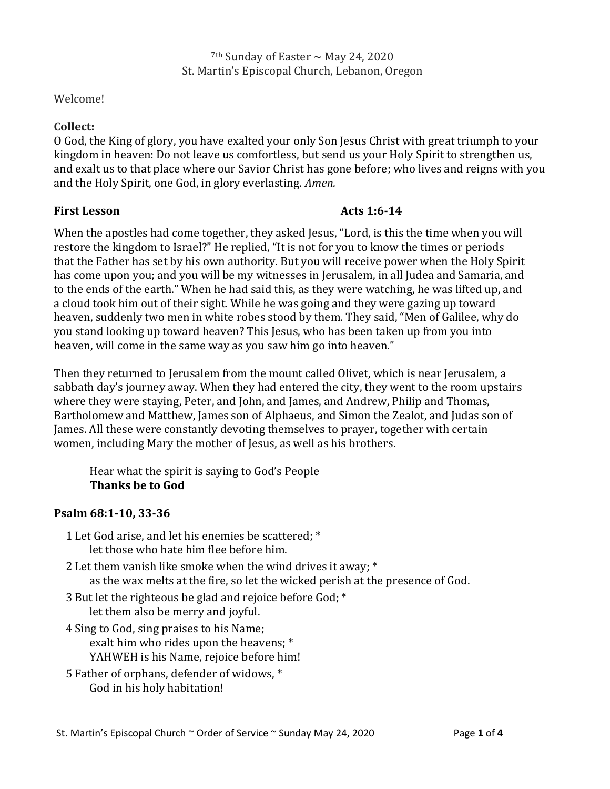<sup>7th</sup> Sunday of Easter  $\sim$  May 24, 2020 St. Martin's Episcopal Church, Lebanon, Oregon

## Welcome!

## **Collect:**

O God, the King of glory, you have exalted your only Son Jesus Christ with great triumph to your kingdom in heaven: Do not leave us comfortless, but send us your Holy Spirit to strengthen us, and exalt us to that place where our Savior Christ has gone before; who lives and reigns with you and the Holy Spirit, one God, in glory everlasting. *Amen.*

## **First Lesson Acts 1:6-14**

When the apostles had come together, they asked Jesus, "Lord, is this the time when you will restore the kingdom to Israel?" He replied, "It is not for you to know the times or periods that the Father has set by his own authority. But you will receive power when the Holy Spirit has come upon you; and you will be my witnesses in Jerusalem, in all Judea and Samaria, and to the ends of the earth." When he had said this, as they were watching, he was lifted up, and a cloud took him out of their sight. While he was going and they were gazing up toward heaven, suddenly two men in white robes stood by them. They said, "Men of Galilee, why do you stand looking up toward heaven? This Jesus, who has been taken up from you into heaven, will come in the same way as you saw him go into heaven."

Then they returned to Jerusalem from the mount called Olivet, which is near Jerusalem, a sabbath day's journey away. When they had entered the city, they went to the room upstairs where they were staying, Peter, and John, and James, and Andrew, Philip and Thomas, Bartholomew and Matthew, James son of Alphaeus, and Simon the Zealot, and Judas son of James. All these were constantly devoting themselves to prayer, together with certain women, including Mary the mother of Jesus, as well as his brothers.

Hear what the spirit is saying to God's People **Thanks be to God**

### **Psalm 68:1-10, 33-36**

- 1 Let God arise, and let his enemies be scattered; \* let those who hate him flee before him.
- 2 Let them vanish like smoke when the wind drives it away; \* as the wax melts at the fire, so let the wicked perish at the presence of God.
- 3 But let the righteous be glad and rejoice before God; \* let them also be merry and joyful.
- 4 Sing to God, sing praises to his Name; exalt him who rides upon the heavens; \* YAHWEH is his Name, rejoice before him!
- 5 Father of orphans, defender of widows, \* God in his holy habitation!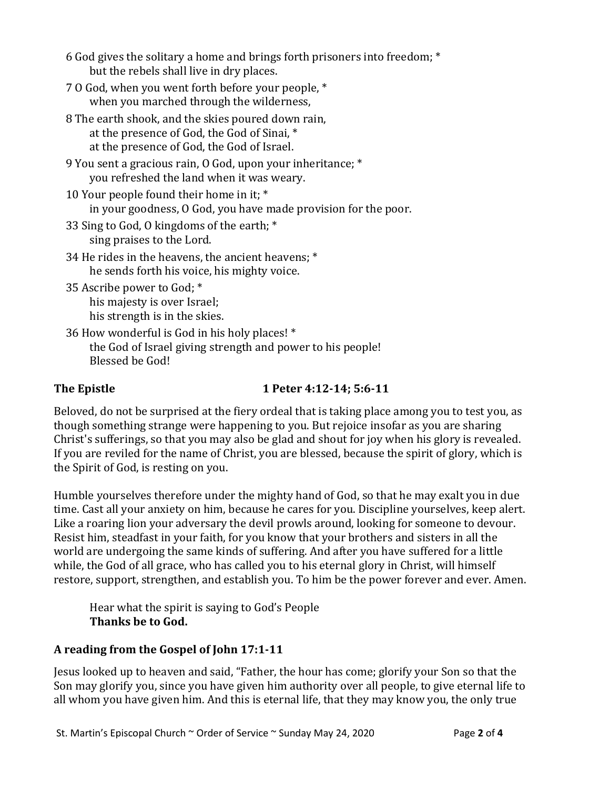- 6 God gives the solitary a home and brings forth prisoners into freedom; \* but the rebels shall live in dry places.
- 7 O God, when you went forth before your people, \* when you marched through the wilderness,
- 8 The earth shook, and the skies poured down rain, at the presence of God, the God of Sinai, \* at the presence of God, the God of Israel.
- 9 You sent a gracious rain, O God, upon your inheritance; \* you refreshed the land when it was weary.
- 10 Your people found their home in it; \* in your goodness, O God, you have made provision for the poor.
- 33 Sing to God, O kingdoms of the earth; \* sing praises to the Lord.
- 34 He rides in the heavens, the ancient heavens; \* he sends forth his voice, his mighty voice.
- 35 Ascribe power to God; \* his majesty is over Israel; his strength is in the skies.
- 36 How wonderful is God in his holy places! \* the God of Israel giving strength and power to his people! Blessed be God!

# **The Epistle 1 Peter 4:12-14; 5:6-11**

Beloved, do not be surprised at the fiery ordeal that is taking place among you to test you, as though something strange were happening to you. But rejoice insofar as you are sharing Christ's sufferings, so that you may also be glad and shout for joy when his glory is revealed. If you are reviled for the name of Christ, you are blessed, because the spirit of glory, which is the Spirit of God, is resting on you.

Humble yourselves therefore under the mighty hand of God, so that he may exalt you in due time. Cast all your anxiety on him, because he cares for you. Discipline yourselves, keep alert. Like a roaring lion your adversary the devil prowls around, looking for someone to devour. Resist him, steadfast in your faith, for you know that your brothers and sisters in all the world are undergoing the same kinds of suffering. And after you have suffered for a little while, the God of all grace, who has called you to his eternal glory in Christ, will himself restore, support, strengthen, and establish you. To him be the power forever and ever. Amen.

Hear what the spirit is saying to God's People **Thanks be to God.**

# **A reading from the Gospel of John 17:1-11**

Jesus looked up to heaven and said, "Father, the hour has come; glorify your Son so that the Son may glorify you, since you have given him authority over all people, to give eternal life to all whom you have given him. And this is eternal life, that they may know you, the only true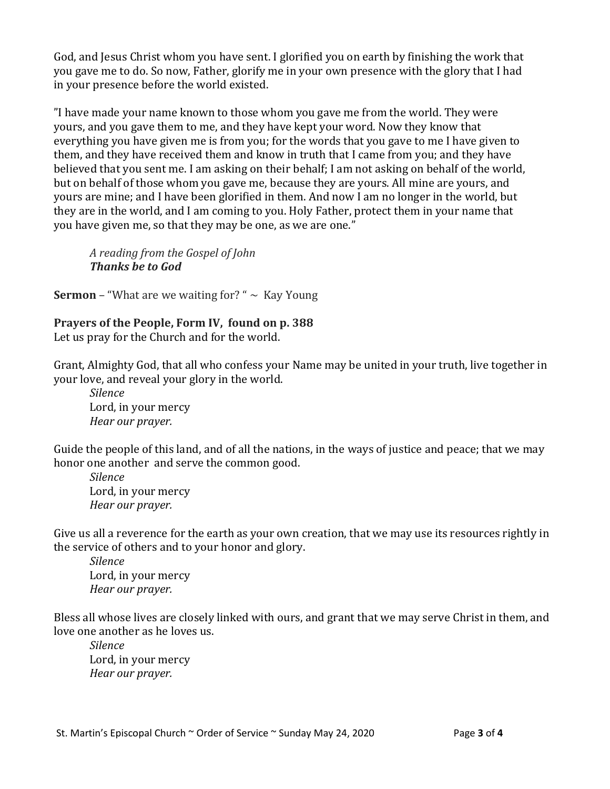God, and Jesus Christ whom you have sent. I glorified you on earth by finishing the work that you gave me to do. So now, Father, glorify me in your own presence with the glory that I had in your presence before the world existed.

"I have made your name known to those whom you gave me from the world. They were yours, and you gave them to me, and they have kept your word. Now they know that everything you have given me is from you; for the words that you gave to me I have given to them, and they have received them and know in truth that I came from you; and they have believed that you sent me. I am asking on their behalf; I am not asking on behalf of the world, but on behalf of those whom you gave me, because they are yours. All mine are yours, and yours are mine; and I have been glorified in them. And now I am no longer in the world, but they are in the world, and I am coming to you. Holy Father, protect them in your name that you have given me, so that they may be one, as we are one."

*A reading from the Gospel of John Thanks be to God*

**Sermon** – "What are we waiting for? "  $\sim$  Kay Young

**Prayers of the People, Form IV, found on p. 388** Let us pray for the Church and for the world.

Grant, Almighty God, that all who confess your Name may be united in your truth, live together in your love, and reveal your glory in the world.

*Silence* Lord, in your mercy *Hear our prayer.*

Guide the people of this land, and of all the nations, in the ways of justice and peace; that we may honor one another and serve the common good.

*Silence* Lord, in your mercy *Hear our prayer.*

Give us all a reverence for the earth as your own creation, that we may use its resources rightly in the service of others and to your honor and glory.

*Silence* Lord, in your mercy *Hear our prayer.*

Bless all whose lives are closely linked with ours, and grant that we may serve Christ in them, and love one another as he loves us.

*Silence* Lord, in your mercy *Hear our prayer.*